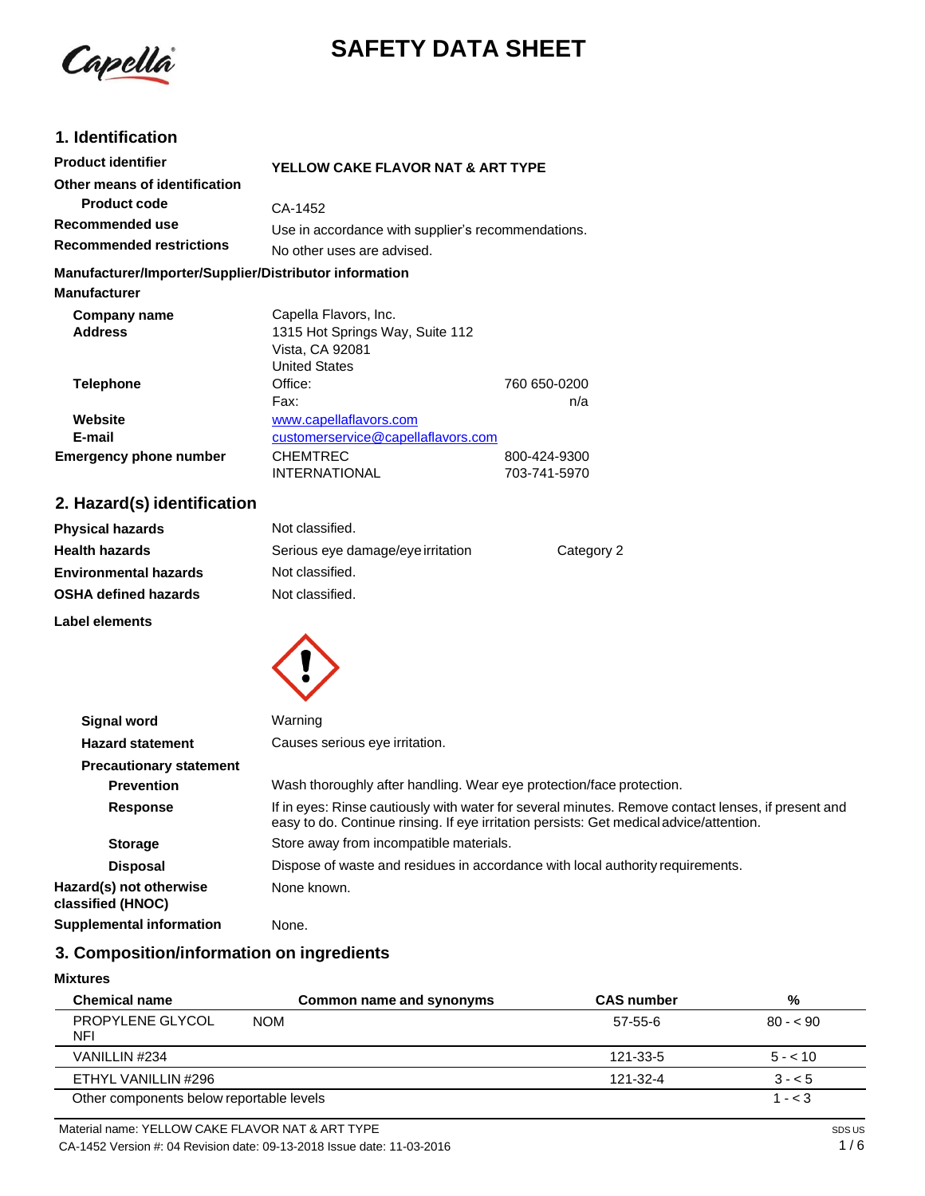

# **SAFETY DATA SHEET**

# **1. Identification**

| <b>Product identifier</b>                              | YELLOW CAKE FLAVOR NAT & ART TYPE                  |              |
|--------------------------------------------------------|----------------------------------------------------|--------------|
| Other means of identification                          |                                                    |              |
| <b>Product code</b>                                    | CA-1452                                            |              |
| Recommended use                                        | Use in accordance with supplier's recommendations. |              |
| <b>Recommended restrictions</b>                        | No other uses are advised.                         |              |
| Manufacturer/Importer/Supplier/Distributor information |                                                    |              |
| <b>Manufacturer</b>                                    |                                                    |              |
| Company name                                           | Capella Flavors, Inc.                              |              |
| <b>Address</b>                                         | 1315 Hot Springs Way, Suite 112                    |              |
|                                                        | Vista, CA 92081                                    |              |
|                                                        | <b>United States</b>                               |              |
| <b>Telephone</b>                                       | Office:                                            | 760 650-0200 |
|                                                        | Fax:                                               | n/a          |
| Website                                                | www.capellaflavors.com                             |              |
| E-mail                                                 | customerservice@capellaflavors.com                 |              |
| <b>Emergency phone number</b>                          | <b>CHEMTREC</b>                                    | 800-424-9300 |
|                                                        | <b>INTERNATIONAL</b>                               | 703-741-5970 |

# **2. Hazard(s) identification**

| <b>Physical hazards</b>      | Not classified.                   |            |
|------------------------------|-----------------------------------|------------|
| <b>Health hazards</b>        | Serious eye damage/eye irritation | Category 2 |
| <b>Environmental hazards</b> | Not classified.                   |            |
| <b>OSHA defined hazards</b>  | Not classified.                   |            |

**Label elements**



| <b>Signal word</b>                           | Warning                                                                                                                                                                                       |
|----------------------------------------------|-----------------------------------------------------------------------------------------------------------------------------------------------------------------------------------------------|
| <b>Hazard statement</b>                      | Causes serious eye irritation.                                                                                                                                                                |
| <b>Precautionary statement</b>               |                                                                                                                                                                                               |
| <b>Prevention</b>                            | Wash thoroughly after handling. Wear eye protection/face protection.                                                                                                                          |
| <b>Response</b>                              | If in eyes: Rinse cautiously with water for several minutes. Remove contact lenses, if present and<br>easy to do. Continue rinsing. If eye irritation persists: Get medical advice/attention. |
| <b>Storage</b>                               | Store away from incompatible materials.                                                                                                                                                       |
| <b>Disposal</b>                              | Dispose of waste and residues in accordance with local authority requirements.                                                                                                                |
| Hazard(s) not otherwise<br>classified (HNOC) | None known.                                                                                                                                                                                   |
| <b>Supplemental information</b>              | None.                                                                                                                                                                                         |

# **3. Composition/information on ingredients**

#### **Mixtures**

| <b>Chemical name</b>                     | Common name and synonyms | <b>CAS</b> number | %         |
|------------------------------------------|--------------------------|-------------------|-----------|
| PROPYLENE GLYCOL<br><b>NFI</b>           | <b>NOM</b>               | 57-55-6           | $80 - 90$ |
| VANILLIN #234                            |                          | 121-33-5          | $5 - 10$  |
| ETHYL VANILLIN #296                      |                          | 121-32-4          | $3 - 5$   |
| Other components below reportable levels |                          |                   | $1 - < 3$ |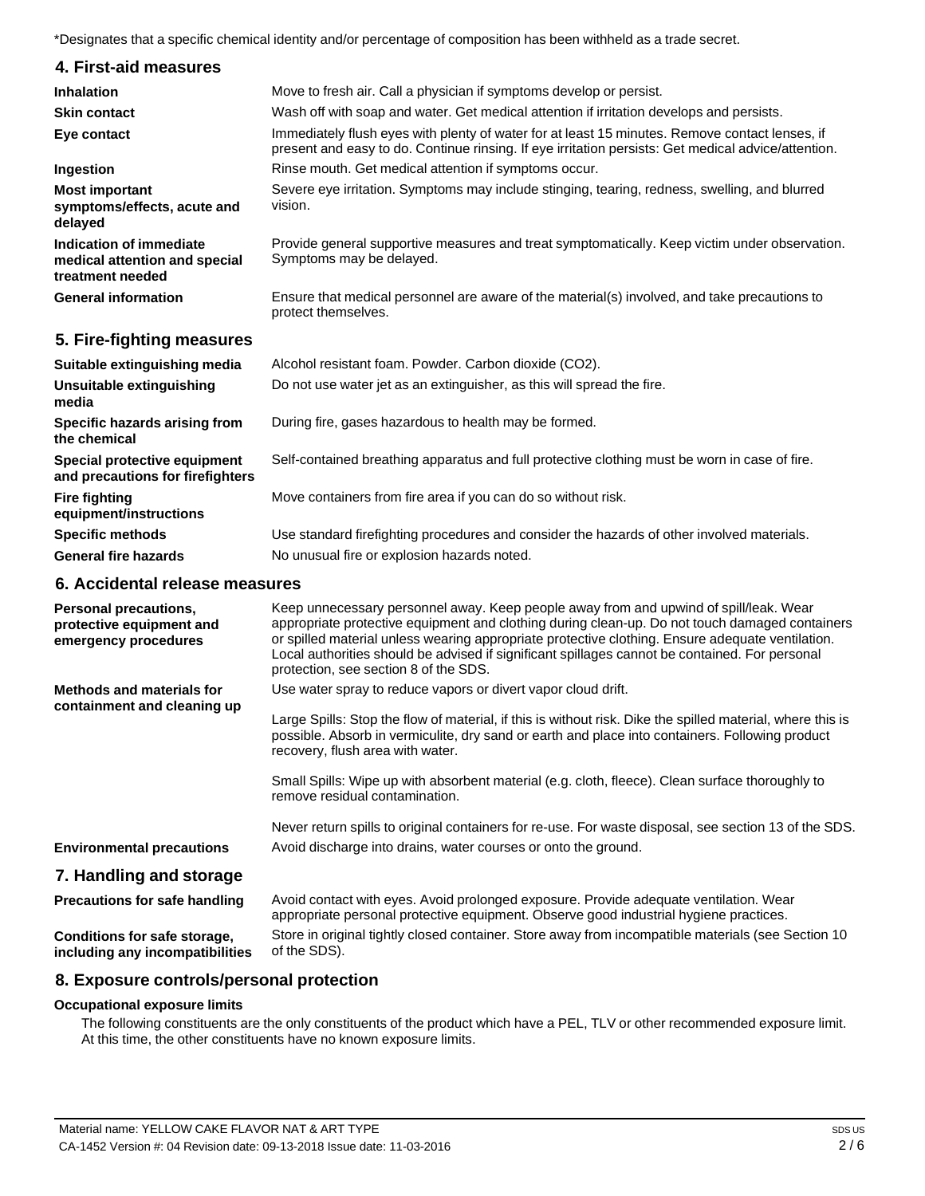\*Designates that a specific chemical identity and/or percentage of composition has been withheld as a trade secret.

| 4. First-aid measures                                                        |                                                                                                                                                                                                       |
|------------------------------------------------------------------------------|-------------------------------------------------------------------------------------------------------------------------------------------------------------------------------------------------------|
| <b>Inhalation</b>                                                            | Move to fresh air. Call a physician if symptoms develop or persist.                                                                                                                                   |
| <b>Skin contact</b>                                                          | Wash off with soap and water. Get medical attention if irritation develops and persists.                                                                                                              |
| Eye contact                                                                  | Immediately flush eyes with plenty of water for at least 15 minutes. Remove contact lenses, if<br>present and easy to do. Continue rinsing. If eye irritation persists: Get medical advice/attention. |
| Ingestion                                                                    | Rinse mouth. Get medical attention if symptoms occur.                                                                                                                                                 |
| <b>Most important</b><br>symptoms/effects, acute and<br>delayed              | Severe eve irritation. Symptoms may include stinging, tearing, redness, swelling, and blurred<br>vision.                                                                                              |
| Indication of immediate<br>medical attention and special<br>treatment needed | Provide general supportive measures and treat symptomatically. Keep victim under observation.<br>Symptoms may be delayed.                                                                             |
| <b>General information</b>                                                   | Ensure that medical personnel are aware of the material(s) involved, and take precautions to<br>protect themselves.                                                                                   |

# **5. Fire-fighting measures**

| Suitable extinguishing media                                     | Alcohol resistant foam. Powder. Carbon dioxide (CO2).                                         |
|------------------------------------------------------------------|-----------------------------------------------------------------------------------------------|
| Unsuitable extinguishing<br>media                                | Do not use water jet as an extinguisher, as this will spread the fire.                        |
| Specific hazards arising from<br>the chemical                    | During fire, gases hazardous to health may be formed.                                         |
| Special protective equipment<br>and precautions for firefighters | Self-contained breathing apparatus and full protective clothing must be worn in case of fire. |
| <b>Fire fighting</b><br>equipment/instructions                   | Move containers from fire area if you can do so without risk.                                 |
| <b>Specific methods</b>                                          | Use standard firefighting procedures and consider the hazards of other involved materials.    |
| <b>General fire hazards</b>                                      | No unusual fire or explosion hazards noted.                                                   |

# **6. Accidental release measures**

| Personal precautions,<br>protective equipment and<br>emergency procedures | Keep unnecessary personnel away. Keep people away from and upwind of spill/leak. Wear<br>appropriate protective equipment and clothing during clean-up. Do not touch damaged containers<br>or spilled material unless wearing appropriate protective clothing. Ensure adequate ventilation.<br>Local authorities should be advised if significant spillages cannot be contained. For personal<br>protection, see section 8 of the SDS. |
|---------------------------------------------------------------------------|----------------------------------------------------------------------------------------------------------------------------------------------------------------------------------------------------------------------------------------------------------------------------------------------------------------------------------------------------------------------------------------------------------------------------------------|
| <b>Methods and materials for</b>                                          | Use water spray to reduce vapors or divert vapor cloud drift.                                                                                                                                                                                                                                                                                                                                                                          |
| containment and cleaning up                                               | Large Spills: Stop the flow of material, if this is without risk. Dike the spilled material, where this is<br>possible. Absorb in vermiculite, dry sand or earth and place into containers. Following product<br>recovery, flush area with water.                                                                                                                                                                                      |
|                                                                           | Small Spills: Wipe up with absorbent material (e.g. cloth, fleece). Clean surface thoroughly to<br>remove residual contamination.                                                                                                                                                                                                                                                                                                      |
|                                                                           | Never return spills to original containers for re-use. For waste disposal, see section 13 of the SDS.                                                                                                                                                                                                                                                                                                                                  |
| <b>Environmental precautions</b>                                          | Avoid discharge into drains, water courses or onto the ground.                                                                                                                                                                                                                                                                                                                                                                         |
| 7. Handling and storage                                                   |                                                                                                                                                                                                                                                                                                                                                                                                                                        |
| <b>Precautions for safe handling</b>                                      | Avoid contact with eyes. Avoid prolonged exposure. Provide adequate ventilation. Wear<br>appropriate personal protective equipment. Observe good industrial hygiene practices.                                                                                                                                                                                                                                                         |
| Conditions for safe storage,<br>including any incompatibilities           | Store in original tightly closed container. Store away from incompatible materials (see Section 10<br>of the SDS).                                                                                                                                                                                                                                                                                                                     |

# **8. Exposure controls/personal protection**

#### **Occupational exposure limits**

The following constituents are the only constituents of the product which have a PEL, TLV or other recommended exposure limit. At this time, the other constituents have no known exposure limits.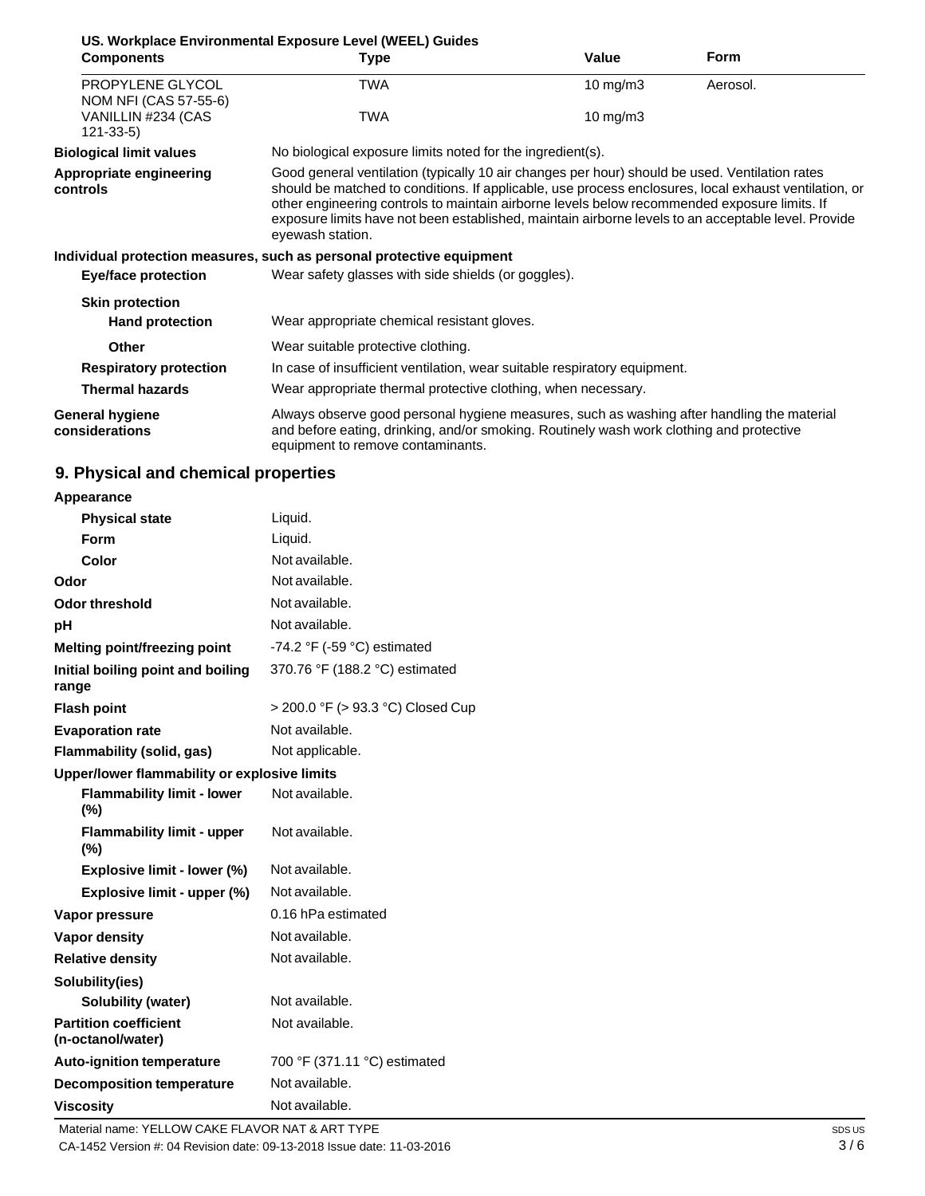|                                           | US. Workplace Environmental Exposure Level (WEEL) Guides                                                                                                                                                                                                                                                                                                                                                                           |                     |             |
|-------------------------------------------|------------------------------------------------------------------------------------------------------------------------------------------------------------------------------------------------------------------------------------------------------------------------------------------------------------------------------------------------------------------------------------------------------------------------------------|---------------------|-------------|
| <b>Components</b>                         | Type                                                                                                                                                                                                                                                                                                                                                                                                                               | Value               | <b>Form</b> |
| PROPYLENE GLYCOL<br>NOM NFI (CAS 57-55-6) | <b>TWA</b>                                                                                                                                                                                                                                                                                                                                                                                                                         | $10 \text{ mg/m}$ 3 | Aerosol.    |
| VANILLIN #234 (CAS<br>$121 - 33 - 5$      | TWA                                                                                                                                                                                                                                                                                                                                                                                                                                | 10 mg/m3            |             |
| <b>Biological limit values</b>            | No biological exposure limits noted for the ingredient(s).                                                                                                                                                                                                                                                                                                                                                                         |                     |             |
| Appropriate engineering<br>controls       | Good general ventilation (typically 10 air changes per hour) should be used. Ventilation rates<br>should be matched to conditions. If applicable, use process enclosures, local exhaust ventilation, or<br>other engineering controls to maintain airborne levels below recommended exposure limits. If<br>exposure limits have not been established, maintain airborne levels to an acceptable level. Provide<br>eyewash station. |                     |             |
|                                           | Individual protection measures, such as personal protective equipment                                                                                                                                                                                                                                                                                                                                                              |                     |             |
| <b>Eye/face protection</b>                | Wear safety glasses with side shields (or goggles).                                                                                                                                                                                                                                                                                                                                                                                |                     |             |
| <b>Skin protection</b>                    |                                                                                                                                                                                                                                                                                                                                                                                                                                    |                     |             |
| <b>Hand protection</b>                    | Wear appropriate chemical resistant gloves.                                                                                                                                                                                                                                                                                                                                                                                        |                     |             |
| Other                                     | Wear suitable protective clothing.                                                                                                                                                                                                                                                                                                                                                                                                 |                     |             |
| <b>Respiratory protection</b>             | In case of insufficient ventilation, wear suitable respiratory equipment.                                                                                                                                                                                                                                                                                                                                                          |                     |             |
| <b>Thermal hazards</b>                    | Wear appropriate thermal protective clothing, when necessary.                                                                                                                                                                                                                                                                                                                                                                      |                     |             |
| <b>General hygiene</b><br>considerations  | Always observe good personal hygiene measures, such as washing after handling the material<br>and before eating, drinking, and/or smoking. Routinely wash work clothing and protective<br>equipment to remove contaminants.                                                                                                                                                                                                        |                     |             |

# **9. Physical and chemical properties**

#### **Appearance**

| <b>Physical state</b>                             | Liquid.                                       |
|---------------------------------------------------|-----------------------------------------------|
| Form                                              | Liquid.                                       |
| Color                                             | Not available.                                |
| Odor                                              | Not available.                                |
| <b>Odor threshold</b>                             | Not available.                                |
| рH                                                | Not available.                                |
| Melting point/freezing point                      | -74.2 $\degree$ F (-59 $\degree$ C) estimated |
| Initial boiling point and boiling<br>range        | 370.76 °F (188.2 °C) estimated                |
| <b>Flash point</b>                                | > 200.0 °F (> 93.3 °C) Closed Cup             |
| <b>Evaporation rate</b>                           | Not available.                                |
| Flammability (solid, gas)                         | Not applicable.                               |
| Upper/lower flammability or explosive limits      |                                               |
| <b>Flammability limit - lower</b><br>$(\% )$      | Not available.                                |
| <b>Flammability limit - upper</b><br>$(\%)$       | Not available.                                |
| Explosive limit - lower (%)                       | Not available.                                |
| Explosive limit - upper (%)                       | Not available.                                |
| Vapor pressure                                    | 0.16 hPa estimated                            |
| Vapor density                                     | Not available.                                |
| <b>Relative density</b>                           | Not available.                                |
| Solubility(ies)                                   |                                               |
| Solubility (water)                                | Not available.                                |
| <b>Partition coefficient</b><br>(n-octanol/water) | Not available.                                |
| <b>Auto-ignition temperature</b>                  | 700 °F (371.11 °C) estimated                  |
| <b>Decomposition temperature</b>                  | Not available.                                |
| <b>Viscosity</b>                                  | Not available.                                |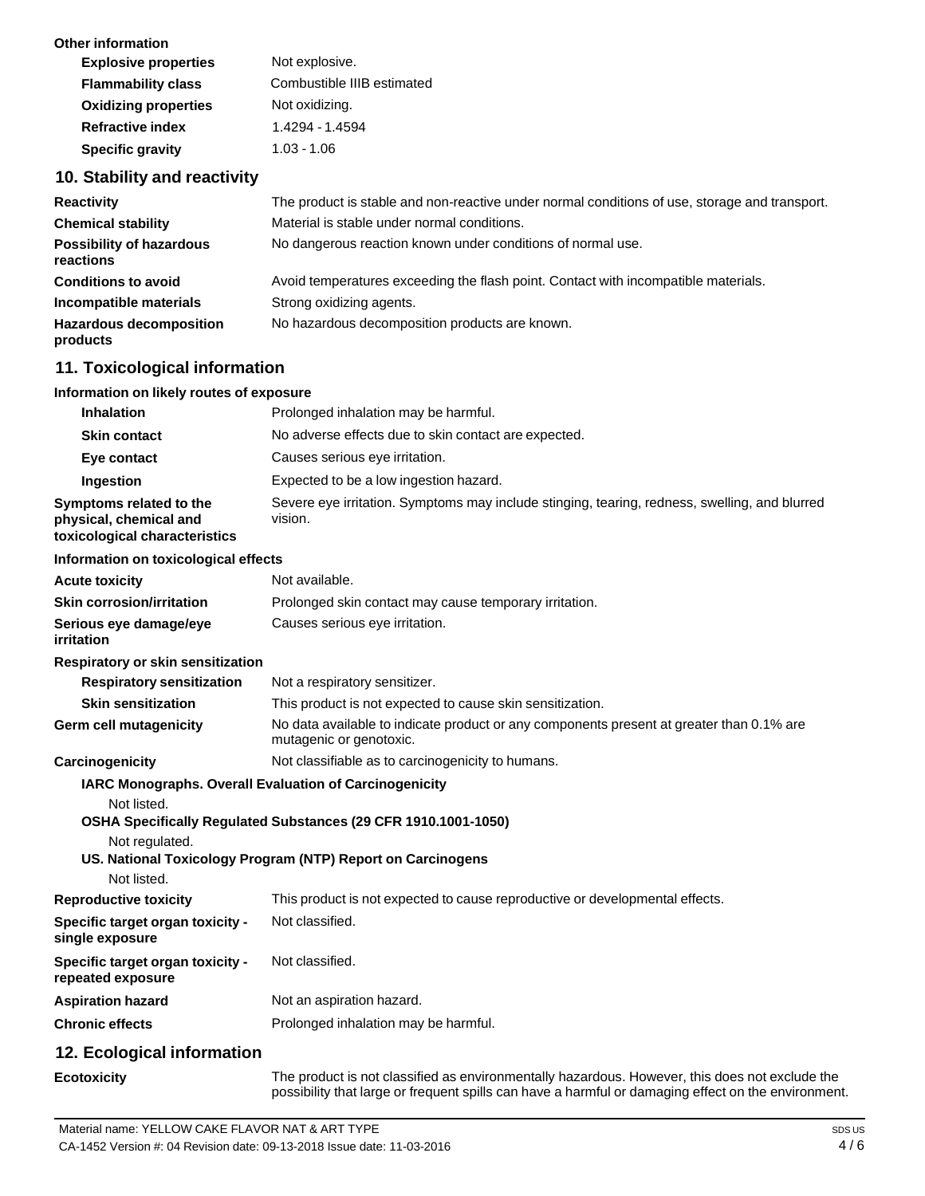| Not explosive.             |
|----------------------------|
| Combustible IIIB estimated |
| Not oxidizing.             |
| 1.4294 - 1.4594            |
| $1.03 - 1.06$              |
|                            |

# **10. Stability and reactivity**

| <b>Reactivity</b>                            | The product is stable and non-reactive under normal conditions of use, storage and transport. |
|----------------------------------------------|-----------------------------------------------------------------------------------------------|
| <b>Chemical stability</b>                    | Material is stable under normal conditions.                                                   |
| <b>Possibility of hazardous</b><br>reactions | No dangerous reaction known under conditions of normal use.                                   |
| <b>Conditions to avoid</b>                   | Avoid temperatures exceeding the flash point. Contact with incompatible materials.            |
| Incompatible materials                       | Strong oxidizing agents.                                                                      |
| <b>Hazardous decomposition</b><br>products   | No hazardous decomposition products are known.                                                |

# **11. Toxicological information**

#### **Information on likely routes of exposure**

| Inhalation                                                                         | Prolonged inhalation may be harmful.                                                                                     |
|------------------------------------------------------------------------------------|--------------------------------------------------------------------------------------------------------------------------|
| <b>Skin contact</b>                                                                | No adverse effects due to skin contact are expected.                                                                     |
| Eye contact                                                                        | Causes serious eye irritation.                                                                                           |
| Ingestion                                                                          | Expected to be a low ingestion hazard.                                                                                   |
| Symptoms related to the<br>physical, chemical and<br>toxicological characteristics | Severe eye irritation. Symptoms may include stinging, tearing, redness, swelling, and blurred<br>vision.                 |
| Information on toxicological effects                                               |                                                                                                                          |
| <b>Acute toxicity</b>                                                              | Not available.                                                                                                           |
| <b>Skin corrosion/irritation</b>                                                   | Prolonged skin contact may cause temporary irritation.                                                                   |
| Serious eye damage/eye<br>irritation                                               | Causes serious eye irritation.                                                                                           |
| <b>Respiratory or skin sensitization</b>                                           |                                                                                                                          |
| <b>Respiratory sensitization</b>                                                   | Not a respiratory sensitizer.                                                                                            |
| <b>Skin sensitization</b>                                                          | This product is not expected to cause skin sensitization.                                                                |
| Germ cell mutagenicity                                                             | No data available to indicate product or any components present at greater than 0.1% are<br>mutagenic or genotoxic.      |
| Carcinogenicity                                                                    | Not classifiable as to carcinogenicity to humans.                                                                        |
| Not listed.                                                                        | IARC Monographs. Overall Evaluation of Carcinogenicity<br>OSHA Specifically Regulated Substances (29 CFR 1910.1001-1050) |
| Not regulated.<br>Not listed.                                                      | US. National Toxicology Program (NTP) Report on Carcinogens                                                              |
| <b>Reproductive toxicity</b>                                                       | This product is not expected to cause reproductive or developmental effects.                                             |
| Specific target organ toxicity -<br>single exposure                                | Not classified.                                                                                                          |
| Specific target organ toxicity -<br>repeated exposure                              | Not classified.                                                                                                          |
| <b>Aspiration hazard</b>                                                           | Not an aspiration hazard.                                                                                                |
| <b>Chronic effects</b>                                                             | Prolonged inhalation may be harmful.                                                                                     |
| 12. Ecological information                                                         |                                                                                                                          |
|                                                                                    | to a chied to the electronic of the state of the contract the book and a state of the state of the state of th           |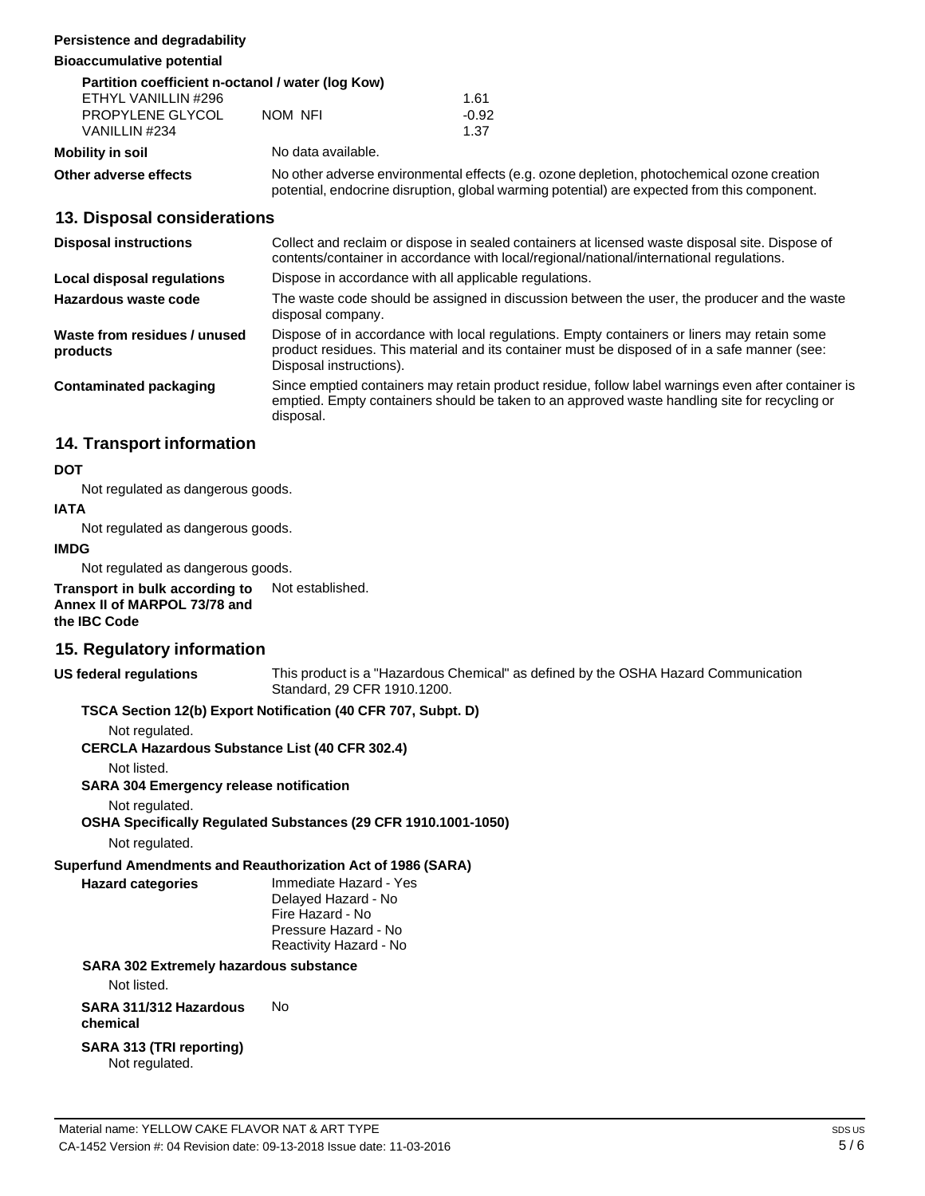#### **Persistence and degradability**

**Bioaccumulative potential**

| Partition coefficient n-octanol / water (log Kow) |                                                                                                                                                                                            |         |  |
|---------------------------------------------------|--------------------------------------------------------------------------------------------------------------------------------------------------------------------------------------------|---------|--|
| ETHYL VANILLIN #296                               |                                                                                                                                                                                            | 1.61    |  |
| PROPYLENE GLYCOL                                  | NOM NFI                                                                                                                                                                                    | $-0.92$ |  |
| VANILLIN #234                                     |                                                                                                                                                                                            | 1.37    |  |
| Mobility in soil                                  | No data available.                                                                                                                                                                         |         |  |
| Other adverse effects                             | No other adverse environmental effects (e.g. ozone depletion, photochemical ozone creation<br>potential, endocrine disruption, global warming potential) are expected from this component. |         |  |

#### **13. Disposal considerations**

| <b>Disposal instructions</b>             | Collect and reclaim or dispose in sealed containers at licensed waste disposal site. Dispose of<br>contents/container in accordance with local/regional/national/international regulations.                            |  |  |
|------------------------------------------|------------------------------------------------------------------------------------------------------------------------------------------------------------------------------------------------------------------------|--|--|
| Local disposal regulations               | Dispose in accordance with all applicable regulations.                                                                                                                                                                 |  |  |
| Hazardous waste code                     | The waste code should be assigned in discussion between the user, the producer and the waste<br>disposal company.                                                                                                      |  |  |
| Waste from residues / unused<br>products | Dispose of in accordance with local regulations. Empty containers or liners may retain some<br>product residues. This material and its container must be disposed of in a safe manner (see:<br>Disposal instructions). |  |  |
| Contaminated packaging                   | Since emptied containers may retain product residue, follow label warnings even after container is<br>emptied. Empty containers should be taken to an approved waste handling site for recycling or<br>disposal.       |  |  |

### **14. Transport information**

#### **DOT**

Not regulated as dangerous goods.

#### **IATA**

Not regulated as dangerous goods.

#### **IMDG**

Not regulated as dangerous goods.

**Transport in bulk according to Annex II of MARPOL 73/78 and the IBC Code** Not established.

### **15. Regulatory information**

**US federal regulations**

This product is a "Hazardous Chemical" as defined by the OSHA Hazard Communication Standard, 29 CFR 1910.1200.

#### **TSCA Section 12(b) Export Notification (40 CFR 707, Subpt. D)**

Not regulated.

**CERCLA Hazardous Substance List (40 CFR 302.4)**

Not listed.

**SARA 304 Emergency release notification**

Not regulated.

## **OSHA Specifically Regulated Substances (29 CFR 1910.1001-1050)**

Not regulated.

#### **Superfund Amendments and Reauthorization Act of 1986 (SARA)**

**Hazard categories** Immediate Hazard - Yes Delayed Hazard - No Fire Hazard - No Pressure Hazard - No Reactivity Hazard - No

#### **SARA 302 Extremely hazardous substance**

Not listed.

**SARA 311/312 Hazardous** No **chemical**

#### **SARA 313 (TRI reporting)** Not regulated.